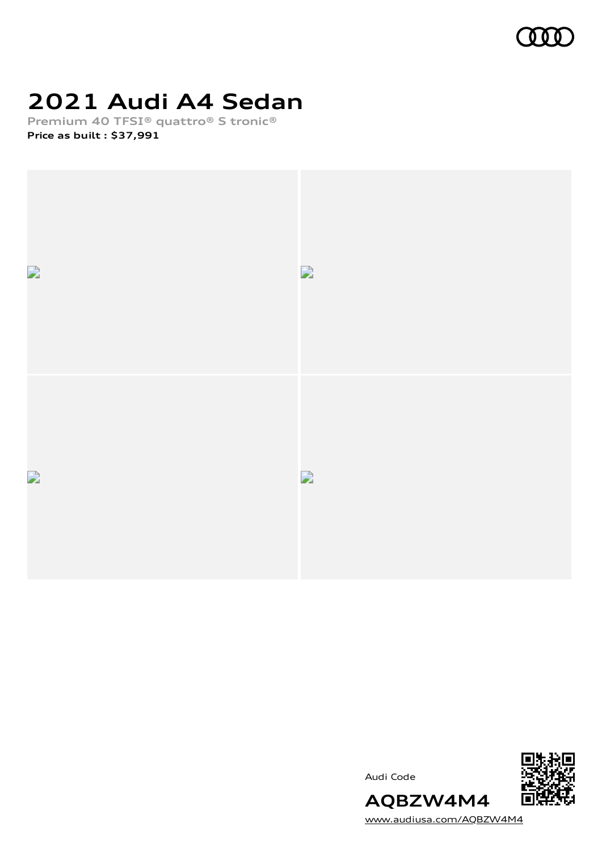

# **2021 Audi A4 Sedan**

**Premium 40 TFSI® quattro® S tronic® Price as built [:](#page-10-0) \$37,991**







[www.audiusa.com/AQBZW4M4](https://www.audiusa.com/AQBZW4M4)

**AQBZW4M4**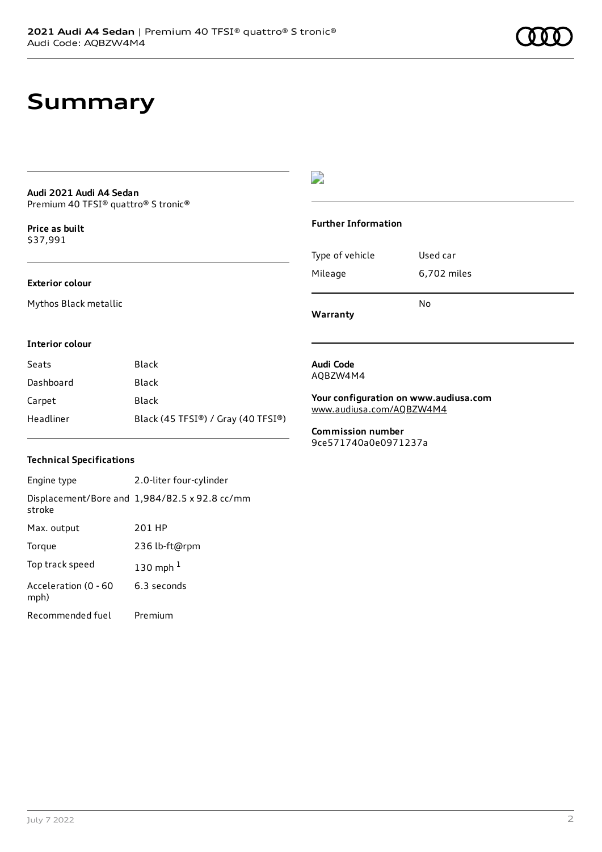## **Summary**

### **Audi 2021 Audi A4 Sedan** Premium 40 TFSI® quattro® S tronic®

**Price as buil[t](#page-10-0)** \$37,991

### **Exterior colour**

Mythos Black metallic

## $\overline{\phantom{a}}$

### **Further Information**

|                 | No          |
|-----------------|-------------|
| Mileage         | 6,702 miles |
| Type of vehicle | Used car    |

**Warranty**

### **Interior colour**

| Seats     | Black                              |
|-----------|------------------------------------|
| Dashboard | Black                              |
| Carpet    | Black                              |
| Headliner | Black (45 TFSI®) / Gray (40 TFSI®) |

### **Technical Specifications**

| Engine type                  | 2.0-liter four-cylinder                       |
|------------------------------|-----------------------------------------------|
| stroke                       | Displacement/Bore and 1,984/82.5 x 92.8 cc/mm |
| Max. output                  | 201 HP                                        |
| Torque                       | 236 lb-ft@rpm                                 |
| Top track speed              | 130 mph $1$                                   |
| Acceleration (0 - 60<br>mph) | 6.3 seconds                                   |
| Recommended fuel             | Premium                                       |

### **Audi Code** AQBZW4M4

**Your configuration on www.audiusa.com** [www.audiusa.com/AQBZW4M4](https://www.audiusa.com/AQBZW4M4)

**Commission number** 9ce571740a0e0971237a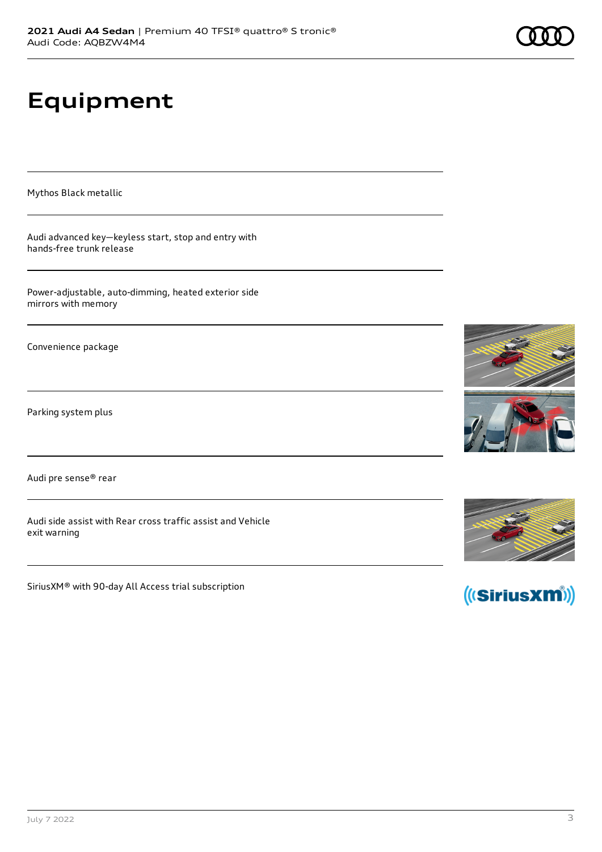# **Equipment**

Mythos Black metallic

Audi advanced key—keyless start, stop and entry with hands-free trunk release

Power-adjustable, auto-dimming, heated exterior side mirrors with memory

Convenience package

Parking system plus

Audi pre sense® rear

Audi side assist with Rear cross traffic assist and Vehicle exit warning

SiriusXM® with 90-day All Access trial subscription







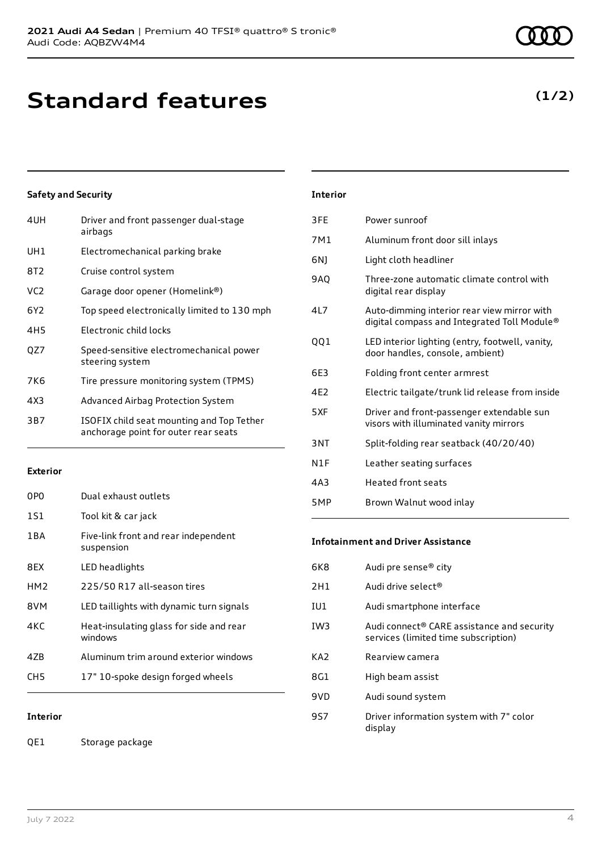| 4UH             | Driver and front passenger dual-stage<br>airbags                                  |
|-----------------|-----------------------------------------------------------------------------------|
| UH1             | Electromechanical parking brake                                                   |
| 8T2             | Cruise control system                                                             |
| VC <sub>2</sub> | Garage door opener (Homelink®)                                                    |
| 6Y2             | Top speed electronically limited to 130 mph                                       |
| 4H <sub>5</sub> | Electronic child locks                                                            |
| QZ7             | Speed-sensitive electromechanical power<br>steering system                        |
| 7K6             | Tire pressure monitoring system (TPMS)                                            |
| 4X3             | Advanced Airbag Protection System                                                 |
| 3B7             | ISOFIX child seat mounting and Top Tether<br>anchorage point for outer rear seats |

### **Exterior**

| 0PO             | Dual exhaust outlets                               |
|-----------------|----------------------------------------------------|
| 1S1             | Tool kit & car jack                                |
| 1 B A           | Five-link front and rear independent<br>suspension |
| 8FX             | LED headlights                                     |
| HM <sub>2</sub> | 225/50 R17 all-season tires                        |
| 8VM             | LED taillights with dynamic turn signals           |
| 4K C            | Heat-insulating glass for side and rear<br>windows |
| 47B             | Aluminum trim around exterior windows              |
| CH5             | 17" 10-spoke design forged wheels                  |

**Interior**

QE1 Storage package

| <b>Interior</b> |
|-----------------|
|-----------------|

| 3FE | Power sunroof                                                                              |
|-----|--------------------------------------------------------------------------------------------|
| 7M1 | Aluminum front door sill inlays                                                            |
| 6N) | Light cloth headliner                                                                      |
| 9AO | Three-zone automatic climate control with<br>digital rear display                          |
| 417 | Auto-dimming interior rear view mirror with<br>digital compass and Integrated Toll Module® |
| QQ1 | LED interior lighting (entry, footwell, vanity,<br>door handles, console, ambient)         |
| 6E3 | Folding front center armrest                                                               |
| 4E2 | Electric tailgate/trunk lid release from inside                                            |
| 5XF | Driver and front-passenger extendable sun<br>visors with illuminated vanity mirrors        |
| 3NT | Split-folding rear seatback (40/20/40)                                                     |
| N1F | Leather seating surfaces                                                                   |
| 4A3 | <b>Heated front seats</b>                                                                  |
| 5MP | Brown Walnut wood inlay                                                                    |

### **Infotainment and Driver Assistance**

| 6K8             | Audi pre sense <sup>®</sup> city                                                               |
|-----------------|------------------------------------------------------------------------------------------------|
| 2H1             | Audi drive select <sup>®</sup>                                                                 |
| IU1             | Audi smartphone interface                                                                      |
| IW <sub>3</sub> | Audi connect <sup>®</sup> CARE assistance and security<br>services (limited time subscription) |
| KA2             | Rearview camera                                                                                |
| 8G1             | High beam assist                                                                               |
| 9VD             | Audi sound system                                                                              |
| 9S7             | Driver information system with 7" color<br>display                                             |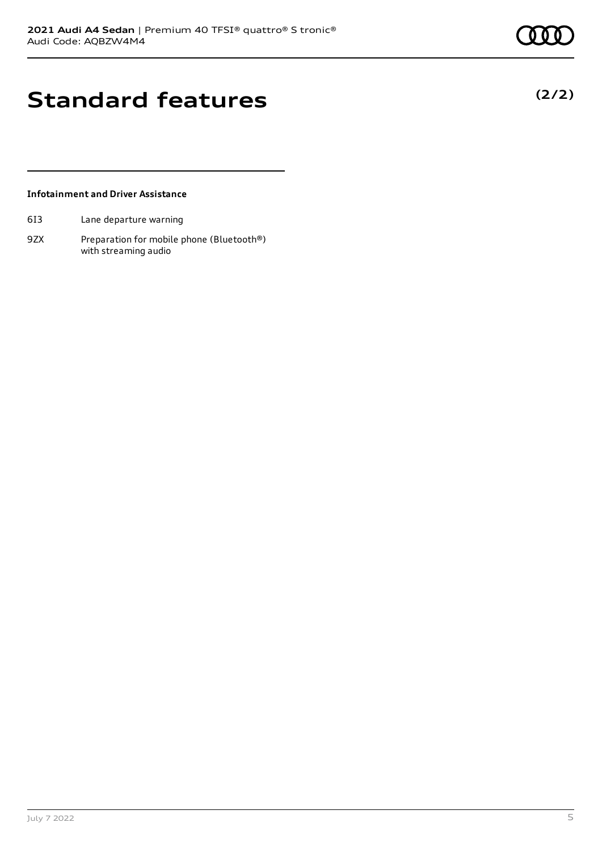**(2/2)**

## **Standard features**

### **Infotainment and Driver Assistance**

- 6I3 Lane departure warning
- 9ZX Preparation for mobile phone (Bluetooth®) with streaming audio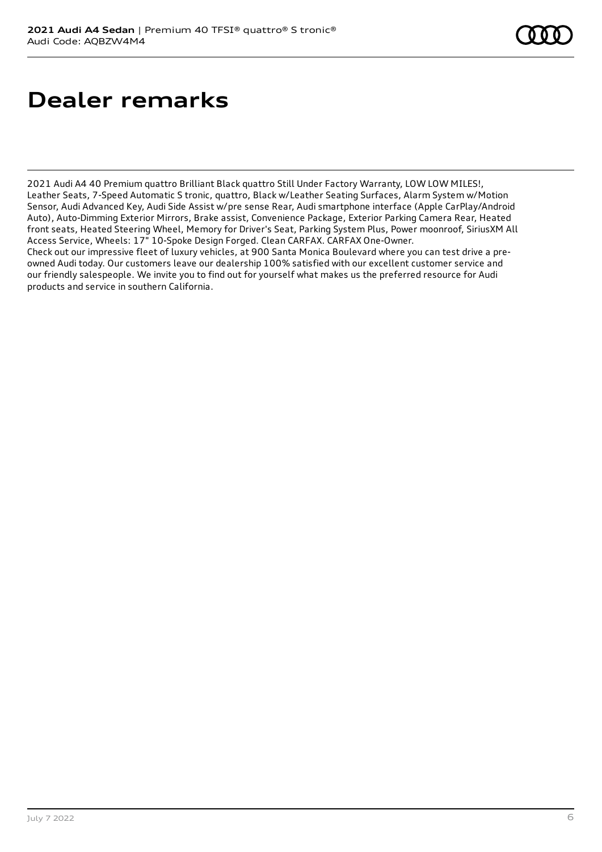## **Dealer remarks**

2021 Audi A4 40 Premium quattro Brilliant Black quattro Still Under Factory Warranty, LOW LOW MILES!, Leather Seats, 7-Speed Automatic S tronic, quattro, Black w/Leather Seating Surfaces, Alarm System w/Motion Sensor, Audi Advanced Key, Audi Side Assist w/pre sense Rear, Audi smartphone interface (Apple CarPlay/Android Auto), Auto-Dimming Exterior Mirrors, Brake assist, Convenience Package, Exterior Parking Camera Rear, Heated front seats, Heated Steering Wheel, Memory for Driver's Seat, Parking System Plus, Power moonroof, SiriusXM All Access Service, Wheels: 17" 10-Spoke Design Forged. Clean CARFAX. CARFAX One-Owner.

Check out our impressive fleet of luxury vehicles, at 900 Santa Monica Boulevard where you can test drive a preowned Audi today. Our customers leave our dealership 100% satisfied with our excellent customer service and our friendly salespeople. We invite you to find out for yourself what makes us the preferred resource for Audi products and service in southern California.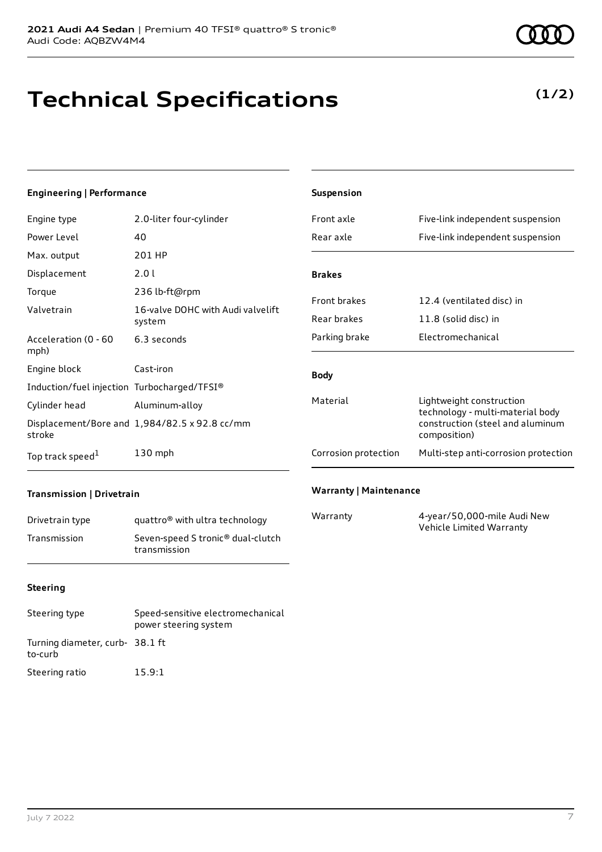# **Technical Specifications**

## **(1/2)**

### **Engineering | Performance**

| Engine type                                 | 2.0-liter four-cylinder                       |
|---------------------------------------------|-----------------------------------------------|
| Power Level                                 | 40                                            |
| Max. output                                 | 201 HP                                        |
| Displacement                                | 2.0 L                                         |
| Torque                                      | 236 lb-ft@rpm                                 |
| Valvetrain                                  | 16-valve DOHC with Audi valvelift<br>system   |
| Acceleration (0 - 60<br>mph)                | 6.3 seconds                                   |
| Engine block                                | Cast-iron                                     |
| Induction/fuel injection Turbocharged/TFSI® |                                               |
| Cylinder head                               | Aluminum-alloy                                |
| stroke                                      | Displacement/Bore and 1,984/82.5 x 92.8 cc/mm |
| Top track speed <sup>1</sup>                | $130$ mph                                     |

| <b>Suspension</b>    |                                                                                                                  |
|----------------------|------------------------------------------------------------------------------------------------------------------|
| Front axle           | Five-link independent suspension                                                                                 |
| Rear axle            | Five-link independent suspension                                                                                 |
|                      |                                                                                                                  |
| <b>Brakes</b>        |                                                                                                                  |
| <b>Front brakes</b>  | 12.4 (ventilated disc) in                                                                                        |
| Rear brakes          | 11.8 (solid disc) in                                                                                             |
| Parking brake        | Flectromechanical                                                                                                |
| <b>Body</b>          |                                                                                                                  |
| Material             | Lightweight construction<br>technology - multi-material body<br>construction (steel and aluminum<br>composition) |
| Corrosion protection | Multi-step anti-corrosion protection                                                                             |
|                      |                                                                                                                  |

### **Transmission | Drivetrain**

| Drivetrain type | quattro <sup>®</sup> with ultra technology                    |
|-----------------|---------------------------------------------------------------|
| Transmission    | Seven-speed S tronic <sup>®</sup> dual-clutch<br>transmission |

### **Warranty | Maintenance**

| Warranty | 4-year/50,000-mile Audi New |
|----------|-----------------------------|
|          | Vehicle Limited Warranty    |

### **Steering**

| Steering type                             | Speed-sensitive electromechanical<br>power steering system |
|-------------------------------------------|------------------------------------------------------------|
| Turning diameter, curb-38.1 ft<br>to-curb |                                                            |
| Steering ratio                            | 15.9:1                                                     |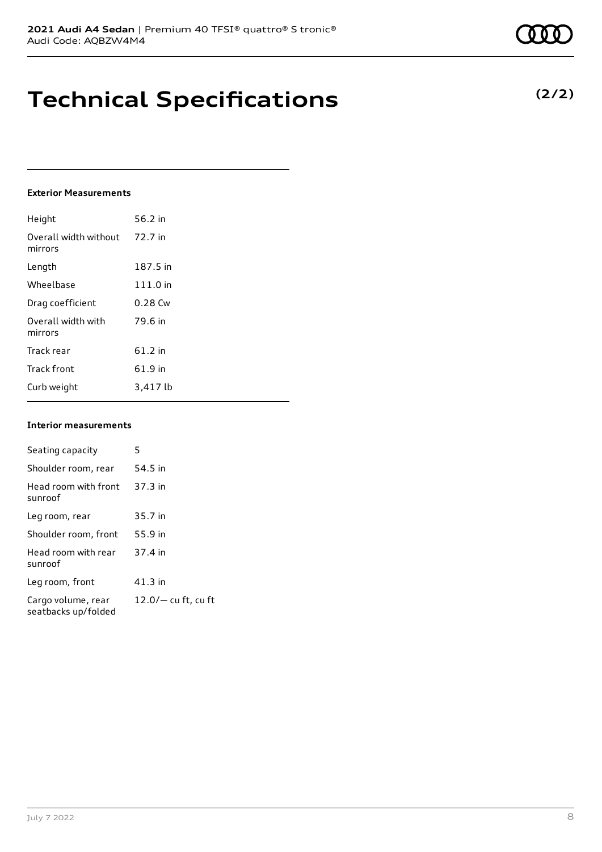## **Technical Specifications**

### **Exterior Measurements**

| Height                           | 56.2 in  |
|----------------------------------|----------|
| Overall width without<br>mirrors | 72.7 in  |
| Length                           | 187.5 in |
| Wheelbase                        | 111.0 in |
| Drag coefficient                 | 0.28 Cw  |
| Overall width with<br>mirrors    | 79.6 in  |
| Track rear                       | 61.2 in  |
| <b>Track front</b>               | 61.9 in  |
| Curb weight                      | 3,417 lb |

### **Interior measurements**

| Seating capacity                          | 5                     |
|-------------------------------------------|-----------------------|
| Shoulder room, rear                       | 54.5 in               |
| Head room with front<br>sunroof           | 37.3 in               |
| Leg room, rear                            | 35.7 in               |
| Shoulder room, front                      | 55.9 in               |
| Head room with rear<br>sunroof            | 37.4 in               |
| Leg room, front                           | $41.3$ in             |
| Cargo volume, rear<br>seatbacks up/folded | $12.0/-$ cu ft, cu ft |

| Π | n<br>ı | 0 |  |
|---|--------|---|--|
|   |        |   |  |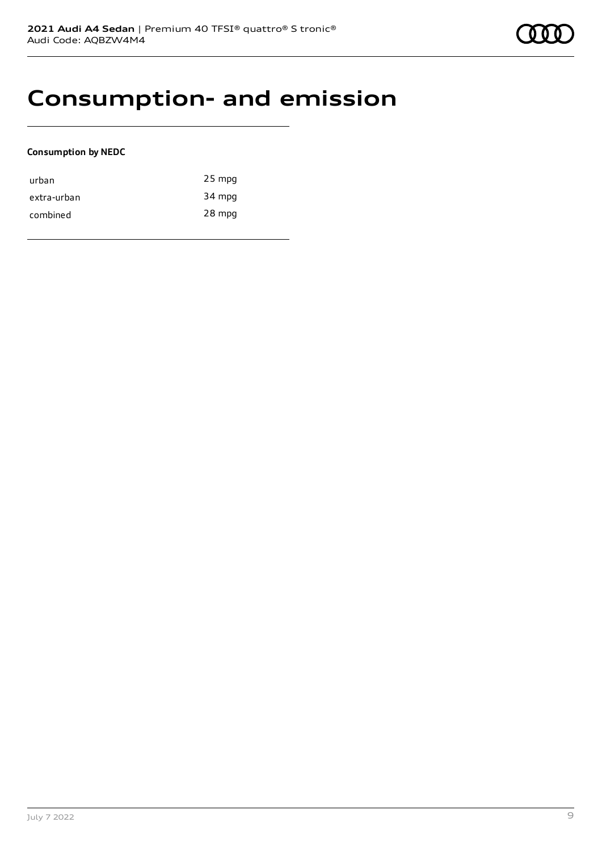## **Consumption- and emission**

### **Consumption by NEDC**

| urban       | $25$ mpg |
|-------------|----------|
| extra-urban | 34 mpg   |
| combined    | 28 mpg   |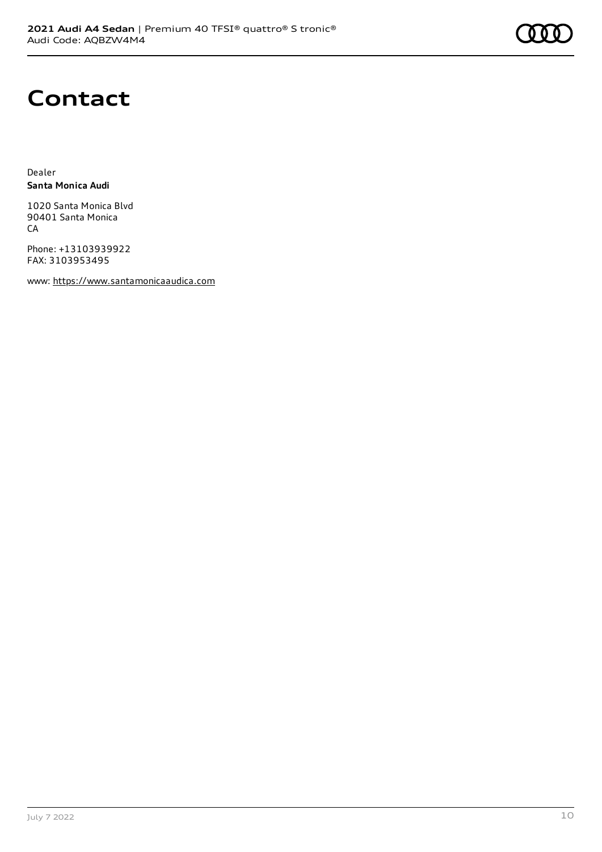

# **Contact**

Dealer **Santa Monica Audi**

1020 Santa Monica Blvd 90401 Santa Monica **CA** 

Phone: +13103939922 FAX: 3103953495

www: [https://www.santamonicaaudica.com](https://www.santamonicaaudica.com/)